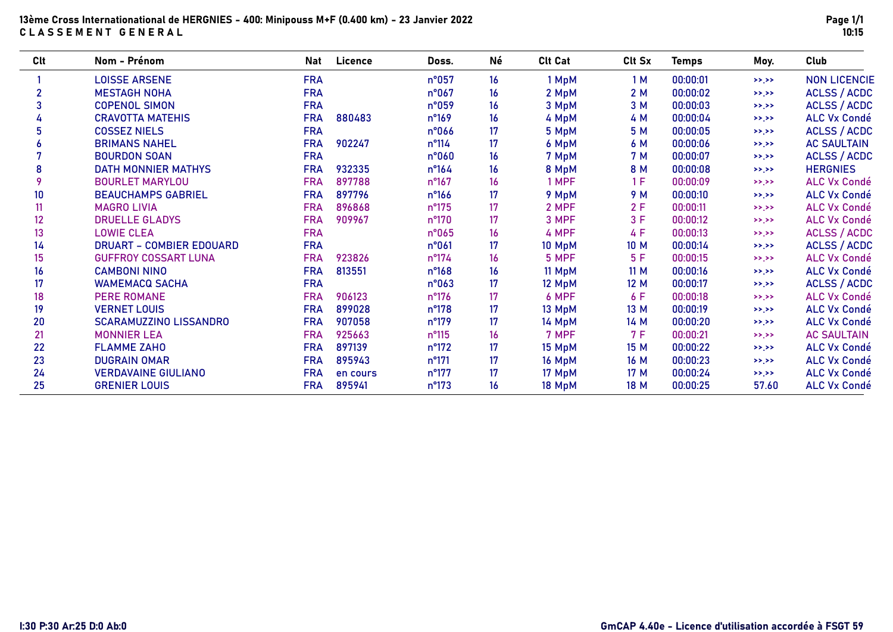# 13ème Cross Internationational de HERGNIES - 400: Minipouss M+F (0.400 km) - 23 Janvier 2022 CLASSEMENT GENERAL

| Clt            | Nom - Prénom                    | <b>Nat</b> | Licence  | Doss.           | Né               | <b>Clt Cat</b> | Clt Sx | <b>Temps</b> | Moy.      | Club                |
|----------------|---------------------------------|------------|----------|-----------------|------------------|----------------|--------|--------------|-----------|---------------------|
|                | <b>LOISSE ARSENE</b>            | <b>FRA</b> |          | n°057           | 16               | 1 MpM          | 1M     | 00:00:01     | >>.>>     | <b>NON LICENCIE</b> |
| $\overline{2}$ | <b>MESTAGH NOHA</b>             | <b>FRA</b> |          | n°067           | 16               | 2 MpM          | 2M     | 00:00:02     | >>.>>     | ACLSS / ACDC        |
| 3              | <b>COPENOL SIMON</b>            | <b>FRA</b> |          | n°059           | 16               | 3 MpM          | 3 M    | 00:00:03     | >>.>>     | ACLSS / ACDC        |
|                | <b>CRAVOTTA MATEHIS</b>         | <b>FRA</b> | 880483   | $n^{\circ}169$  | 16               | 4 MpM          | 4 M    | 00:00:04     | >>.>>     | <b>ALC Vx Condé</b> |
|                | <b>COSSEZ NIELS</b>             | <b>FRA</b> |          | n°066           | 17               | 5 MpM          | 5 M    | 00:00:05     | >>.>>     | <b>ACLSS / ACDC</b> |
|                | <b>BRIMANS NAHEL</b>            | <b>FRA</b> | 902247   | $n^{\circ}114$  | 17               | 6 MpM          | 6 M    | 00:00:06     | >>.>>     | <b>AC SAULTAIN</b>  |
|                | <b>BOURDON SOAN</b>             | <b>FRA</b> |          | n°060           | 16               | 7 MpM          | 7 M    | 00:00:07     | >>.>>     | ACLSS / ACDC        |
| 8              | <b>DATH MONNIER MATHYS</b>      | <b>FRA</b> | 932335   | $n^{\circ}164$  | 16               | 8 MpM          | 8 M    | 00:00:08     | >>.>>     | <b>HERGNIES</b>     |
| 9              | <b>BOURLET MARYLOU</b>          | <b>FRA</b> | 897788   | $n^{\circ}167$  | 16               | 1 MPF          | 1F     | 00:00:09     | >>.>>     | <b>ALC Vx Condé</b> |
| 10             | <b>BEAUCHAMPS GABRIEL</b>       | <b>FRA</b> | 897796   | $n^{\circ}$ 166 | 17               | 9 MpM          | 9 M    | 00:00:10     | >>.>>     | <b>ALC Vx Condé</b> |
| 11             | <b>MAGRO LIVIA</b>              | <b>FRA</b> | 896868   | $n^{\circ}175$  | 17               | 2 MPF          | 2F     | 00:00:11     | >>.>>     | <b>ALC Vx Condé</b> |
| 12             | <b>DRUELLE GLADYS</b>           | <b>FRA</b> | 909967   | $n^{\circ}170$  | 17               | 3 MPF          | 3F     | 00:00:12     | >>.>>     | <b>ALC Vx Condé</b> |
| 13             | <b>LOWIE CLEA</b>               | <b>FRA</b> |          | n°065           | 16               | 4 MPF          | 4 F    | 00:00:13     | >>.>>     | <b>ACLSS / ACDC</b> |
| 14             | <b>DRUART - COMBIER EDOUARD</b> | <b>FRA</b> |          | n°061           | 17 <sup>17</sup> | 10 MpM         | 10 M   | 00:00:14     | >>.>>     | <b>ACLSS / ACDC</b> |
| 15             | <b>GUFFROY COSSART LUNA</b>     | <b>FRA</b> | 923826   | $n^{\circ}174$  | 16               | 5 MPF          | 5F     | 00:00:15     | >>.>>     | <b>ALC Vx Condé</b> |
| 16             | <b>CAMBONI NINO</b>             | <b>FRA</b> | 813551   | $n^{\circ}168$  | 16               | 11 MpM         | 11 M   | 00:00:16     | >>.>>     | <b>ALC Vx Condé</b> |
| 17             | <b>WAMEMACQ SACHA</b>           | <b>FRA</b> |          | n°063           | 17               | 12 MpM         | 12 M   | 00:00:17     | >>.>>     | <b>ACLSS / ACDC</b> |
| 18             | <b>PERE ROMANE</b>              | <b>FRA</b> | 906123   | n°176           | 17               | 6 MPF          | 6 F    | 00:00:18     | >>.>>     | <b>ALC Vx Condé</b> |
| 19             | <b>VERNET LOUIS</b>             | <b>FRA</b> | 899028   | n°178           | 17               | 13 MpM         | 13 M   | 00:00:19     | >>.>>     | <b>ALC Vx Condé</b> |
| 20             | <b>SCARAMUZZINO LISSANDRO</b>   | <b>FRA</b> | 907058   | $n^{\circ}179$  | 17               | 14 MpM         | 14 M   | 00:00:20     | >>.>>     | <b>ALC Vx Condé</b> |
| 21             | <b>MONNIER LEA</b>              | <b>FRA</b> | 925663   | $n^{\circ}115$  | 16               | 7 MPF          | 7 F    | 00:00:21     | >>        | <b>AC SAULTAIN</b>  |
| 22             | <b>FLAMME ZAHO</b>              | <b>FRA</b> | 897139   | $n^{\circ}172$  | 17               | 15 MpM         | 15 M   | 00:00:22     | >>.>>     | <b>ALC Vx Condé</b> |
| 23             | <b>DUGRAIN OMAR</b>             | <b>FRA</b> | 895943   | $n^{\circ}171$  | 17               | 16 MpM         | 16 M   | 00:00:23     | >>.>>     | <b>ALC Vx Condé</b> |
| 24             | <b>VERDAVAINE GIULIANO</b>      | <b>FRA</b> | en cours | $n^{\circ}177$  | 17               | 17 MpM         | 17 M   | 00:00:24     | $>>$ $>>$ | <b>ALC Vx Condé</b> |
| 25             | <b>GRENIER LOUIS</b>            | <b>FRA</b> | 895941   | n°173           | 16               | 18 MpM         | 18 M   | 00:00:25     | 57.60     | <b>ALC Vx Condé</b> |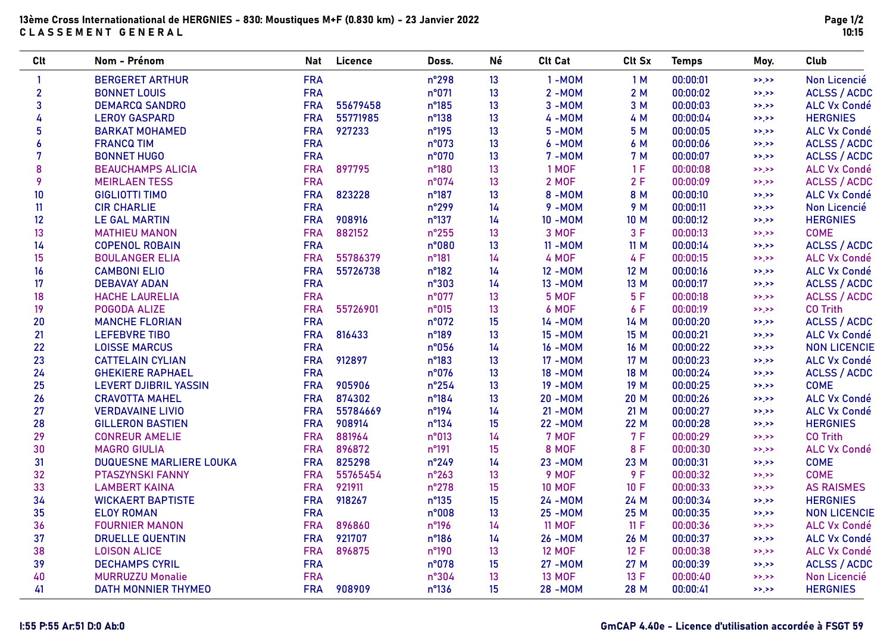# 13ème Cross Internationational de HERGNIES - 830: Moustiques M+F (0.830 km) - 23 Janvier 2022 CLASSEMENT GENERAL

| <b>Clt</b>     | Nom - Prénom                   | <b>Nat</b> | Licence  | Doss.          | Né | <b>Clt Cat</b> | Clt Sx      | <b>Temps</b> | Moy.      | Club                |
|----------------|--------------------------------|------------|----------|----------------|----|----------------|-------------|--------------|-----------|---------------------|
| 1              | <b>BERGERET ARTHUR</b>         | <b>FRA</b> |          | n°298          | 13 | $1 - MOM$      | 1M          | 00:00:01     | $>>$ $>>$ | Non Licencié        |
| $\overline{2}$ | <b>BONNET LOUIS</b>            | <b>FRA</b> |          | n°071          | 13 | $2 - MOM$      | 2M          | 00:00:02     | >>.>>     | <b>ACLSS / ACDC</b> |
| 3              | <b>DEMARCQ SANDRO</b>          | <b>FRA</b> | 55679458 | n°185          | 13 | $3 - MOM$      | 3 M         | 00:00:03     | >>        | <b>ALC Vx Condé</b> |
| 4              | <b>LEROY GASPARD</b>           | <b>FRA</b> | 55771985 | n°138          | 13 | 4-M0M          | 4 M         | 00:00:04     | >>.>>     | <b>HERGNIES</b>     |
| 5              | <b>BARKAT MOHAMED</b>          | <b>FRA</b> | 927233   | n°195          | 13 | $5 - MOM$      | 5 M         | 00:00:05     | >>.>>     | ALC Vx Condé        |
| 6              | <b>FRANCQ TIM</b>              | <b>FRA</b> |          | n°073          | 13 | 6-MOM          | 6 M         | 00:00:06     | $>>$ $>>$ | <b>ACLSS / ACDC</b> |
| 7              | <b>BONNET HUGO</b>             | <b>FRA</b> |          | n°070          | 13 | $7 - MOM$      | <b>7 M</b>  | 00:00:07     | >>.       | <b>ACLSS / ACDC</b> |
| 8              | <b>BEAUCHAMPS ALICIA</b>       | <b>FRA</b> | 897795   | n°180          | 13 | 1 MOF          | 1F          | 00:00:08     | $>>$ $>>$ | <b>ALC Vx Condé</b> |
| 9              | <b>MEIRLAEN TESS</b>           | <b>FRA</b> |          | n°074          | 13 | <b>2 MOF</b>   | 2F          | 00:00:09     | $>>$ $>>$ | <b>ACLSS / ACDC</b> |
| 10             | <b>GIGLIOTTI TIMO</b>          | <b>FRA</b> | 823228   | n°187          | 13 | 8-MOM          | 8 M         | 00:00:10     | >>.       | <b>ALC Vx Condé</b> |
| 11             | <b>CIR CHARLIE</b>             | <b>FRA</b> |          | n°299          | 14 | $9 - MOM$      | 9 M         | 00:00:11     | >>        | Non Licencié        |
| 12             | <b>LE GAL MARTIN</b>           | <b>FRA</b> | 908916   | n°137          | 14 | 10 - MOM       | 10 M        | 00:00:12     | $>>$ $>>$ | <b>HERGNIES</b>     |
| 13             | <b>MATHIEU MANON</b>           | <b>FRA</b> | 882152   | $n^{\circ}255$ | 13 | 3 MOF          | 3F          | 00:00:13     | >>        | <b>COME</b>         |
| 14             | <b>COPENOL ROBAIN</b>          | <b>FRA</b> |          | n°080          | 13 | 11 - MOM       | 11 M        | 00:00:14     | $>>$ $>>$ | <b>ACLSS / ACDC</b> |
| 15             | <b>BOULANGER ELIA</b>          | <b>FRA</b> | 55786379 | $n^{\circ}181$ | 14 | 4 MOF          | 4 F         | 00:00:15     | $>>$ $>>$ | <b>ALC Vx Condé</b> |
| 16             | <b>CAMBONI ELIO</b>            | <b>FRA</b> | 55726738 | $n^{\circ}182$ | 14 | 12 - MOM       | 12 M        | 00:00:16     | >>.       | <b>ALC Vx Condé</b> |
| 17             | <b>DEBAVAY ADAN</b>            | <b>FRA</b> |          | n°303          | 14 | 13 - MOM       | 13 M        | 00:00:17     | >>.       | <b>ACLSS / ACDC</b> |
| 18             | <b>HACHE LAURELIA</b>          | <b>FRA</b> |          | n°077          | 13 | 5 MOF          | 5F          | 00:00:18     | >>        | <b>ACLSS / ACDC</b> |
| 19             | POGODA ALIZE                   | <b>FRA</b> | 55726901 | n°015          | 13 | 6 MOF          | 6 F         | 00:00:19     | >>        | <b>CO Trith</b>     |
| 20             | <b>MANCHE FLORIAN</b>          | <b>FRA</b> |          | n°072          | 15 | 14 - MOM       | 14 M        | 00:00:20     | >>        | <b>ACLSS / ACDC</b> |
| 21             | <b>LEFEBVRE TIBO</b>           | <b>FRA</b> | 816433   | n°189          | 13 | 15 - MOM       | 15 M        | 00:00:21     | >>        | <b>ALC Vx Condé</b> |
| 22             | <b>LOISSE MARCUS</b>           | <b>FRA</b> |          | n°056          | 14 | 16 - MOM       | 16 M        | 00:00:22     | >>.       | <b>NON LICENCIE</b> |
| 23             | <b>CATTELAIN CYLIAN</b>        | <b>FRA</b> | 912897   | n°183          | 13 | 17 - MOM       | 17 M        | 00:00:23     | >>        | <b>ALC Vx Condé</b> |
| 24             | <b>GHEKIERE RAPHAEL</b>        | <b>FRA</b> |          | n°076          | 13 | 18 - MOM       | 18 M        | 00:00:24     | >>.>>     | <b>ACLSS / ACDC</b> |
| 25             | <b>LEVERT DJIBRIL YASSIN</b>   | <b>FRA</b> | 905906   | $n^{\circ}254$ | 13 | 19 - MOM       | 19 M        | 00:00:25     | >>.       | <b>COME</b>         |
| 26             | <b>CRAVOTTA MAHEL</b>          | <b>FRA</b> | 874302   | n°184          | 13 | <b>20 -MOM</b> | 20 M        | 00:00:26     | >>        | <b>ALC Vx Condé</b> |
| 27             | <b>VERDAVAINE LIVIO</b>        | <b>FRA</b> | 55784669 | $n^{\circ}194$ | 14 | 21 - MOM       | 21 M        | 00:00:27     | >>        | <b>ALC Vx Condé</b> |
| 28             | <b>GILLERON BASTIEN</b>        | <b>FRA</b> | 908914   | n°134          | 15 | 22 - MOM       | <b>22 M</b> | 00:00:28     | $>>$ $>>$ | <b>HERGNIES</b>     |
| 29             | <b>CONREUR AMELIE</b>          | <b>FRA</b> | 881964   | n°013          | 14 | 7 MOF          | 7 F         | 00:00:29     | $>>$ $>>$ | <b>CO Trith</b>     |
| 30             | <b>MAGRO GIULIA</b>            | <b>FRA</b> | 896872   | n°191          | 15 | 8 MOF          | 8 F         | 00:00:30     | >>        | <b>ALC Vx Condé</b> |
| 31             | <b>DUQUESNE MARLIERE LOUKA</b> | <b>FRA</b> | 825298   | $n^{\circ}249$ | 14 | 23 - MOM       | 23 M        | 00:00:31     | >>        | <b>COME</b>         |
| 32             | <b>PTASZYNSKI FANNY</b>        | <b>FRA</b> | 55765454 | $n^{\circ}263$ | 13 | 9 MOF          | 9F          | 00:00:32     | >>.       | <b>COME</b>         |
| 33             | <b>LAMBERT KAINA</b>           | <b>FRA</b> | 921911   | $n^{\circ}278$ | 15 | <b>10 MOF</b>  | 10 F        | 00:00:33     | >>.       | <b>AS RAISMES</b>   |
| 34             | <b>WICKAERT BAPTISTE</b>       | <b>FRA</b> | 918267   | $n^{\circ}135$ | 15 | 24 - MOM       | 24 M        | 00:00:34     | $>>$ $>>$ | <b>HERGNIES</b>     |
| 35             | <b>ELOY ROMAN</b>              | <b>FRA</b> |          | n°008          | 13 | <b>25 -MOM</b> | 25 M        | 00:00:35     | >>        | <b>NON LICENCIE</b> |
| 36             | <b>FOURNIER MANON</b>          | <b>FRA</b> | 896860   | n°196          | 14 | <b>11 MOF</b>  | 11 F        | 00:00:36     | >>        | <b>ALC Vx Condé</b> |
| 37             | <b>DRUELLE QUENTIN</b>         | <b>FRA</b> | 921707   | n°186          | 14 | 26 - MOM       | 26 M        | 00:00:37     | >>.>>     | <b>ALC Vx Condé</b> |
| 38             | <b>LOISON ALICE</b>            | <b>FRA</b> | 896875   | $n^{\circ}190$ | 13 | <b>12 MOF</b>  | 12 F        | 00:00:38     | $>>$ $>>$ | <b>ALC Vx Condé</b> |
| 39             | <b>DECHAMPS CYRIL</b>          | <b>FRA</b> |          | n°078          | 15 | 27 - MOM       | 27 M        | 00:00:39     | >>.>>     | <b>ACLSS / ACDC</b> |
| 40             | <b>MURRUZZU Monalie</b>        | <b>FRA</b> |          | n°304          | 13 | <b>13 MOF</b>  | 13 F        | 00:00:40     | >>        | Non Licencié        |
| 41             | <b>DATH MONNIER THYMEO</b>     | <b>FRA</b> | 908909   | $n^{\circ}136$ | 15 | <b>28 -MOM</b> | 28 M        | 00:00:41     | >>.>>     | <b>HERGNIES</b>     |

# I:55 P:55 Ar:51 D:0 Ab:0 GmCAP 4.40e - Licence d'utilisation accordée à FSGT 59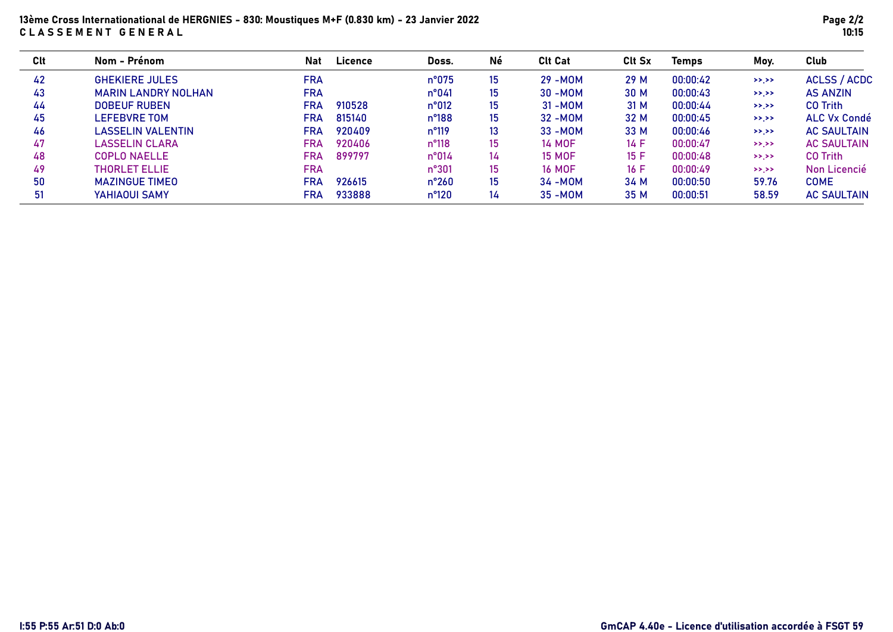# 13ème Cross Internationational de HERGNIES - 830: Moustiques M+F (0.830 km) - 23 Janvier 2022 CLASSEMENT GENERAL

| Clt | Nom - Prénom               | <b>Nat</b> | Licence | Doss.          | Né | <b>Clt Cat</b> | <b>Clt Sx</b> | <b>Temps</b> | Mov.      | Club                |
|-----|----------------------------|------------|---------|----------------|----|----------------|---------------|--------------|-----------|---------------------|
| 42  | <b>GHEKIERE JULES</b>      | <b>FRA</b> |         | n°075          | 15 | $29 - MOM$     | 29 M          | 00:00:42     | >>        | <b>ACLSS / ACDC</b> |
| 43  | <b>MARIN LANDRY NOLHAN</b> | <b>FRA</b> |         | $n^{\circ}041$ | 15 | $30 - MOM$     | 30 M          | 00:00:43     | >>        | <b>AS ANZIN</b>     |
| 44  | <b>DOBEUF RUBEN</b>        | <b>FRA</b> | 910528  | n°012          | 15 | $31 - MOM$     | 31 M          | 00:00:44     | $>>$ $>>$ | <b>CO Trith</b>     |
| 45  | LEFEBVRE TOM               | FRA        | 815140  | $n^{\circ}188$ | 15 | $32 - MOM$     | 32 M          | 00:00:45     | >>.>>     | <b>ALC Vx Condé</b> |
| 46  | LASSELIN VALENTIN          | <b>FRA</b> | 920409  | $n^{\circ}119$ | 13 | $33 - MOM$     | 33 M          | 00:00:46     | >>.>>     | <b>AC SAULTAIN</b>  |
| 47  | LASSELIN CLARA             | FRA        | 920406  | $n^{\circ}118$ | 15 | <b>14 MOF</b>  | 14 F          | 00:00:47     | $>>$ $>>$ | <b>AC SAULTAIN</b>  |
| 48  | <b>COPLO NAELLE</b>        | <b>FRA</b> | 899797  | $n^{\circ}014$ | 14 | <b>15 MOF</b>  | 15 F          | 00:00:48     | $>>$ $>>$ | <b>CO Trith</b>     |
| 49  | <b>THORLET ELLIE</b>       | <b>FRA</b> |         | $n^{\circ}301$ | 15 | <b>16 MOF</b>  | 16F           | 00:00:49     | $>>$ $>>$ | Non Licencié        |
| 50  | <b>MAZINGUE TIMEO</b>      | <b>FRA</b> | 926615  | $n^{\circ}260$ | 15 | $34 - MOM$     | 34 M          | 00:00:50     | 59.76     | <b>COME</b>         |
| 51  | YAHIAOUI SAMY              | FRA        | 933888  | $n^{\circ}120$ | 14 | $35 - MOM$     | 35 M          | 00:00:51     | 58.59     | <b>AC SAULTAIN</b>  |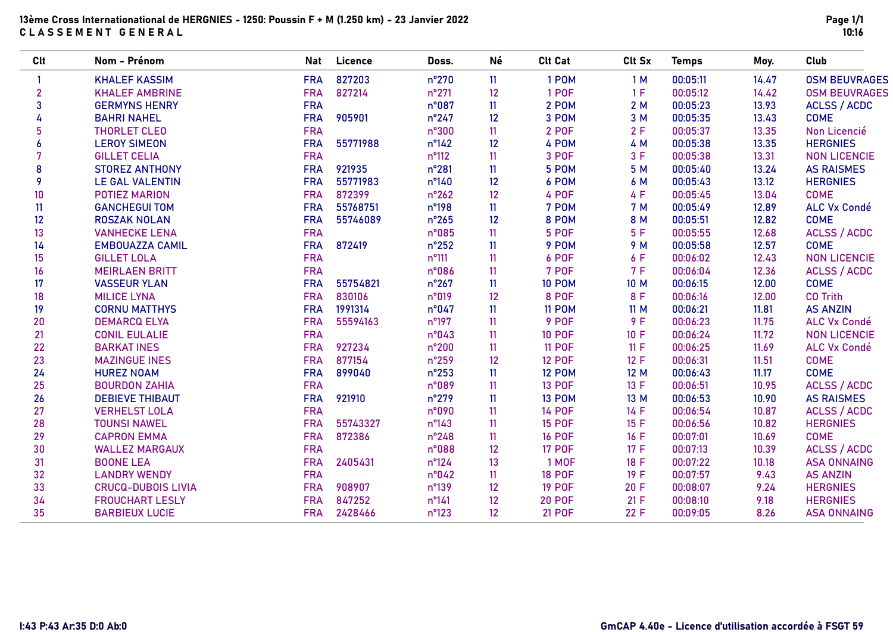# 13ème Cross Internationational de HERGNIES - 1250: Poussin F + M (1.250 km) - 23 Janvier 2022 CLASSEMENT GENERAL

| Clt            | Nom - Prénom              | <b>Nat</b> | Licence  | Doss.          | Né | <b>Clt Cat</b> | Clt Sx | <b>Temps</b> | Moy.  | Club                 |
|----------------|---------------------------|------------|----------|----------------|----|----------------|--------|--------------|-------|----------------------|
| $\mathbf{1}$   | <b>KHALEF KASSIM</b>      | <b>FRA</b> | 827203   | n°270          | 11 | 1 POM          | 1M     | 00:05:11     | 14.47 | <b>OSM BEUVRAGES</b> |
| $\overline{2}$ | <b>KHALEF AMBRINE</b>     | <b>FRA</b> | 827214   | $n^{\circ}271$ | 12 | 1 POF          | 1F     | 00:05:12     | 14.42 | <b>OSM BEUVRAGES</b> |
| 3              | <b>GERMYNS HENRY</b>      | <b>FRA</b> |          | n°087          | 11 | 2 POM          | 2M     | 00:05:23     | 13.93 | <b>ACLSS / ACDC</b>  |
| 4              | <b>BAHRI NAHEL</b>        | <b>FRA</b> | 905901   | $n^{\circ}247$ | 12 | 3 POM          | 3 M    | 00:05:35     | 13.43 | <b>COME</b>          |
| 5              | THORLET CLEO              | <b>FRA</b> |          | n°300          | 11 | <b>2 POF</b>   | 2F     | 00:05:37     | 13.35 | Non Licencié         |
| 6              | <b>LEROY SIMEON</b>       | <b>FRA</b> | 55771988 | $n^{\circ}142$ | 12 | 4 POM          | 4 M    | 00:05:38     | 13.35 | <b>HERGNIES</b>      |
|                | <b>GILLET CELIA</b>       | <b>FRA</b> |          | $n^{\circ}112$ | 11 | 3 POF          | 3F     | 00:05:38     | 13.31 | <b>NON LICENCIE</b>  |
| 8              | <b>STOREZ ANTHONY</b>     | <b>FRA</b> | 921935   | $n^{\circ}281$ | 11 | 5 POM          | 5 M    | 00:05:40     | 13.24 | <b>AS RAISMES</b>    |
| 9              | <b>LE GAL VALENTIN</b>    | <b>FRA</b> | 55771983 | $n^{\circ}140$ | 12 | 6 POM          | 6 M    | 00:05:43     | 13.12 | <b>HERGNIES</b>      |
| 10             | POTIEZ MARION             | <b>FRA</b> | 872399   | $n^{\circ}262$ | 12 | 4 POF          | 4 F    | 00:05:45     | 13.04 | <b>COME</b>          |
| 11             | <b>GANCHEGUI TOM</b>      | <b>FRA</b> | 55768751 | n°198          | 11 | 7 POM          | 7 M    | 00:05:49     | 12.89 | <b>ALC Vx Condé</b>  |
| 12             | <b>ROSZAK NOLAN</b>       | <b>FRA</b> | 55746089 | $n^{\circ}265$ | 12 | 8 POM          | 8 M    | 00:05:51     | 12.82 | <b>COME</b>          |
| 13             | <b>VANHECKE LENA</b>      | <b>FRA</b> |          | n°085          | 11 | 5 POF          | 5F     | 00:05:55     | 12.68 | <b>ACLSS / ACDC</b>  |
| 14             | <b>EMBOUAZZA CAMIL</b>    | <b>FRA</b> | 872419   | $n^{\circ}252$ | 11 | 9 POM          | 9 M    | 00:05:58     | 12.57 | <b>COME</b>          |
| 15             | <b>GILLET LOLA</b>        | <b>FRA</b> |          | $n^{\circ}111$ | 11 | 6 POF          | 6 F    | 00:06:02     | 12.43 | <b>NON LICENCIE</b>  |
| 16             | <b>MEIRLAEN BRITT</b>     | <b>FRA</b> |          | n°086          | 11 | 7 POF          | 7F     | 00:06:04     | 12.36 | <b>ACLSS / ACDC</b>  |
| 17             | <b>VASSEUR YLAN</b>       | <b>FRA</b> | 55754821 | $n^{\circ}267$ | 11 | <b>10 POM</b>  | 10 M   | 00:06:15     | 12.00 | <b>COME</b>          |
| 18             | <b>MILICE LYNA</b>        | <b>FRA</b> | 830106   | n°019          | 12 | 8 POF          | 8 F    | 00:06:16     | 12.00 | <b>CO Trith</b>      |
| 19             | <b>CORNU MATTHYS</b>      | <b>FRA</b> | 1991314  | n°047          | 11 | <b>11 POM</b>  | 11 M   | 00:06:21     | 11.81 | <b>AS ANZIN</b>      |
| 20             | <b>DEMARCQ ELYA</b>       | <b>FRA</b> | 55594163 | $n^{\circ}197$ | 11 | 9 POF          | 9F     | 00:06:23     | 11.75 | <b>ALC Vx Condé</b>  |
| 21             | <b>CONIL EULALIE</b>      | <b>FRA</b> |          | n°043          | 11 | <b>10 POF</b>  | 10 F   | 00:06:24     | 11.72 | <b>NON LICENCIE</b>  |
| 22             | <b>BARKAT INES</b>        | <b>FRA</b> | 927234   | $n^{\circ}200$ | 11 | <b>11 POF</b>  | 11 F   | 00:06:25     | 11.69 | <b>ALC Vx Condé</b>  |
| 23             | <b>MAZINGUE INES</b>      | <b>FRA</b> | 877154   | $n^{\circ}259$ | 12 | <b>12 POF</b>  | 12 F   | 00:06:31     | 11.51 | <b>COME</b>          |
| 24             | <b>HUREZ NOAM</b>         | <b>FRA</b> | 899040   | $n^{\circ}253$ | 11 | <b>12 POM</b>  | 12 M   | 00:06:43     | 11.17 | <b>COME</b>          |
| 25             | <b>BOURDON ZAHIA</b>      | <b>FRA</b> |          | n°089          | 11 | <b>13 POF</b>  | 13 F   | 00:06:51     | 10.95 | <b>ACLSS / ACDC</b>  |
| 26             | <b>DEBIEVE THIBAUT</b>    | <b>FRA</b> | 921910   | $n^{\circ}279$ | 11 | <b>13 POM</b>  | 13 M   | 00:06:53     | 10.90 | <b>AS RAISMES</b>    |
| 27             | <b>VERHELST LOLA</b>      | <b>FRA</b> |          | n°090          | 11 | <b>14 POF</b>  | 14 F   | 00:06:54     | 10.87 | <b>ACLSS / ACDC</b>  |
| 28             | <b>TOUNSI NAWEL</b>       | <b>FRA</b> | 55743327 | $n^{\circ}143$ | 11 | <b>15 POF</b>  | 15 F   | 00:06:56     | 10.82 | <b>HERGNIES</b>      |
| 29             | <b>CAPRON EMMA</b>        | <b>FRA</b> | 872386   | $n^{\circ}248$ | 11 | <b>16 POF</b>  | 16 F   | 00:07:01     | 10.69 | <b>COME</b>          |
| 30             | <b>WALLEZ MARGAUX</b>     | <b>FRA</b> |          | n°088          | 12 | <b>17 POF</b>  | 17 F   | 00:07:13     | 10.39 | <b>ACLSS / ACDC</b>  |
| 31             | <b>BOONE LEA</b>          | <b>FRA</b> | 2405431  | $n^{\circ}124$ | 13 | 1 MOF          | 18 F   | 00:07:22     | 10.18 | <b>ASA ONNAING</b>   |
| 32             | <b>LANDRY WENDY</b>       | <b>FRA</b> |          | n°042          | 11 | <b>18 POF</b>  | 19 F   | 00:07:57     | 9.43  | <b>AS ANZIN</b>      |
| 33             | <b>CRUCQ-DUBOIS LIVIA</b> | <b>FRA</b> | 908907   | $n^{\circ}139$ | 12 | <b>19 POF</b>  | 20 F   | 00:08:07     | 9.24  | <b>HERGNIES</b>      |
| 34             | <b>FROUCHART LESLY</b>    | <b>FRA</b> | 847252   | $n^{\circ}141$ | 12 | <b>20 POF</b>  | 21 F   | 00:08:10     | 9.18  | <b>HERGNIES</b>      |
| 35             | <b>BARBIEUX LUCIE</b>     | <b>FRA</b> | 2428466  | n°123          | 12 | <b>21 POF</b>  | 22 F   | 00:09:05     | 8.26  | <b>ASA ONNAING</b>   |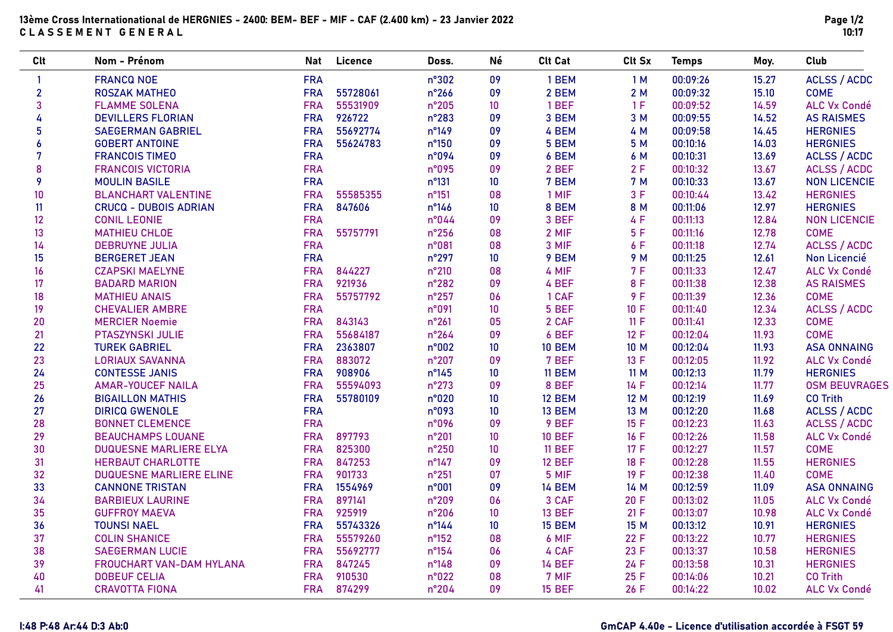| <b>Clt</b>     | Nom - Prénom                    | Nat        | Licence  | Doss.           | Né              | <b>Clt Cat</b> | Clt Sx      | <b>Temps</b> | Moy.  | Club                 |
|----------------|---------------------------------|------------|----------|-----------------|-----------------|----------------|-------------|--------------|-------|----------------------|
| $\mathbf{1}$   | <b>FRANCQ NOE</b>               | <b>FRA</b> |          | n°302           | 09              | 1 BEM          | 1M          | 00:09:26     | 15.27 | <b>ACLSS / ACDC</b>  |
| $\overline{2}$ | <b>ROSZAK MATHEO</b>            | <b>FRA</b> | 55728061 | $n^{\circ}266$  | 09              | 2 BEM          | 2M          | 00:09:32     | 15.10 | <b>COME</b>          |
| 3              | <b>FLAMME SOLENA</b>            | <b>FRA</b> | 55531909 | $n^{\circ}205$  | 10              | 1 BEF          | 1F          | 00:09:52     | 14.59 | <b>ALC Vx Condé</b>  |
| 4              | <b>DEVILLERS FLORIAN</b>        | <b>FRA</b> | 926722   | n°283           | 09              | 3 BEM          | 3 M         | 00:09:55     | 14.52 | <b>AS RAISMES</b>    |
| 5              | <b>SAEGERMAN GABRIEL</b>        | <b>FRA</b> | 55692774 | $n^{\circ}149$  | 09              | 4 BEM          | 4 M         | 00:09:58     | 14.45 | <b>HERGNIES</b>      |
| 6              | <b>GOBERT ANTOINE</b>           | <b>FRA</b> | 55624783 | n°150           | 09              | 5 BEM          | 5 M         | 00:10:16     | 14.03 | <b>HERGNIES</b>      |
| 7              | <b>FRANCOIS TIMEO</b>           | <b>FRA</b> |          | n°094           | 09              | 6 BEM          | 6 M         | 00:10:31     | 13.69 | <b>ACLSS / ACDC</b>  |
| 8              | <b>FRANCOIS VICTORIA</b>        | <b>FRA</b> |          | n°095           | 09              | 2 BEF          | 2F          | 00:10:32     | 13.67 | <b>ACLSS / ACDC</b>  |
| 9              | <b>MOULIN BASILE</b>            | <b>FRA</b> |          | n°131           | 10              | 7 BEM          | 7 M         | 00:10:33     | 13.67 | <b>NON LICENCIE</b>  |
| 10             | <b>BLANCHART VALENTINE</b>      | <b>FRA</b> | 55585355 | $n^{\circ}151$  | 08              | 1 MIF          | 3F          | 00:10:44     | 13.42 | <b>HERGNIES</b>      |
| 11             | <b>CRUCQ - DUBOIS ADRIAN</b>    | <b>FRA</b> | 847606   | $n^{\circ}$ 146 | 10              | 8 BEM          | 8 M         | 00:11:06     | 12.97 | <b>HERGNIES</b>      |
| 12             | <b>CONIL LEONIE</b>             | <b>FRA</b> |          | n°044           | 09              | 3 BEF          | 4 F         | 00:11:13     | 12.84 | <b>NON LICENCIE</b>  |
| 13             | <b>MATHIEU CHLOE</b>            | <b>FRA</b> | 55757791 | $n^{\circ}256$  | 08              | 2 MIF          | 5F          | 00:11:16     | 12.78 | <b>COME</b>          |
| 14             | <b>DEBRUYNE JULIA</b>           | <b>FRA</b> |          | n°081           | 08              | 3 MIF          | 6 F         | 00:11:18     | 12.74 | <b>ACLSS / ACDC</b>  |
| 15             | <b>BERGERET JEAN</b>            | <b>FRA</b> |          | $n^{\circ}297$  | 10              | 9 BEM          | 9 M         | 00:11:25     | 12.61 | Non Licencié         |
| 16             | <b>CZAPSKI MAELYNE</b>          | <b>FRA</b> | 844227   | $n^{\circ}210$  | 08              | 4 MIF          | 7F          | 00:11:33     | 12.47 | <b>ALC Vx Condé</b>  |
| 17             | <b>BADARD MARION</b>            | <b>FRA</b> | 921936   | n°282           | 09              | 4 BEF          | 8 F         | 00:11:38     | 12.38 | <b>AS RAISMES</b>    |
| 18             | <b>MATHIEU ANAIS</b>            | <b>FRA</b> | 55757792 | $n^{\circ}257$  | 06              | 1 CAF          | 9F          | 00:11:39     | 12.36 | <b>COME</b>          |
| 19             | <b>CHEVALIER AMBRE</b>          | <b>FRA</b> |          | n°091           | 10              | 5 BEF          | 10 F        | 00:11:40     | 12.34 | <b>ACLSS / ACDC</b>  |
| 20             | <b>MERCIER Noemie</b>           | <b>FRA</b> | 843143   | $n^{\circ}261$  | 05              | 2 CAF          | 11 F        | 00:11:41     | 12.33 | <b>COME</b>          |
| 21             | PTASZYNSKI JULIE                | <b>FRA</b> | 55684187 | $n^{\circ}264$  | 09              | 6 BEF          | 12 F        | 00:12:04     | 11.93 | <b>COME</b>          |
| 22             | <b>TUREK GABRIEL</b>            | <b>FRA</b> | 2363807  | n°002           | 10              | <b>10 BEM</b>  | 10 M        | 00:12:04     | 11.93 | <b>ASA ONNAING</b>   |
| 23             | <b>LORIAUX SAVANNA</b>          | <b>FRA</b> | 883072   | $n^{\circ}207$  | 09              | 7 BEF          | 13 F        | 00:12:05     | 11.92 | <b>ALC Vx Condé</b>  |
| 24             | <b>CONTESSE JANIS</b>           | <b>FRA</b> | 908906   | $n^{\circ}145$  | 10 <sup>°</sup> | <b>11 BEM</b>  | <b>11 M</b> | 00:12:13     | 11.79 | <b>HERGNIES</b>      |
| 25             | <b>AMAR-YOUCEF NAILA</b>        | <b>FRA</b> | 55594093 | $n^{\circ}273$  | 09              | 8 BEF          | 14 F        | 00:12:14     | 11.77 | <b>OSM BEUVRAGES</b> |
| 26             | <b>BIGAILLON MATHIS</b>         | <b>FRA</b> | 55780109 | n°020           | 10              | <b>12 BEM</b>  | 12 M        | 00:12:19     | 11.69 | <b>CO Trith</b>      |
| 27             | <b>DIRICQ GWENOLE</b>           | <b>FRA</b> |          | n°093           | 10              | 13 BEM         | 13 M        | 00:12:20     | 11.68 | <b>ACLSS / ACDC</b>  |
| 28             | <b>BONNET CLEMENCE</b>          | <b>FRA</b> |          | n°096           | 09              | 9 BEF          | 15 F        | 00:12:23     | 11.63 | <b>ACLSS / ACDC</b>  |
| 29             | <b>BEAUCHAMPS LOUANE</b>        | <b>FRA</b> | 897793   | $n^{\circ}201$  | 10              | <b>10 BEF</b>  | 16F         | 00:12:26     | 11.58 | <b>ALC Vx Condé</b>  |
| 30             | <b>DUQUESNE MARLIERE ELYA</b>   | <b>FRA</b> | 825300   | n°250           | 10              | <b>11 BEF</b>  | 17 F        | 00:12:27     | 11.57 | <b>COME</b>          |
| 31             | <b>HERBAUT CHARLOTTE</b>        | <b>FRA</b> | 847253   | n°147           | 09              | <b>12 BEF</b>  | 18 F        | 00:12:28     | 11.55 | <b>HERGNIES</b>      |
| 32             | <b>DUQUESNE MARLIERE ELINE</b>  | <b>FRA</b> | 901733   | $n^{\circ}251$  | 07              | 5 MIF          | 19 F        | 00:12:38     | 11.40 | <b>COME</b>          |
| 33             | <b>CANNONE TRISTAN</b>          | <b>FRA</b> | 1554969  | n°001           | 09              | <b>14 BEM</b>  | 14 M        | 00:12:59     | 11.09 | <b>ASA ONNAING</b>   |
| 34             | <b>BARBIEUX LAURINE</b>         | <b>FRA</b> | 897141   | n°209           | 06              | 3 CAF          | 20 F        | 00:13:02     | 11.05 | <b>ALC Vx Condé</b>  |
| 35             | <b>GUFFROY MAEVA</b>            | <b>FRA</b> | 925919   | $n^{\circ}206$  | 10              | <b>13 BEF</b>  | 21 F        | 00:13:07     | 10.98 | <b>ALC Vx Condé</b>  |
| 36             | <b>TOUNSI NAEL</b>              | <b>FRA</b> | 55743326 | $n^{\circ}$ 144 | 10              | <b>15 BEM</b>  | 15 M        | 00:13:12     | 10.91 | <b>HERGNIES</b>      |
| 37             | <b>COLIN SHANICE</b>            | <b>FRA</b> | 55579260 | n°152           | 08              | 6 MIF          | 22 F        | 00:13:22     | 10.77 | <b>HERGNIES</b>      |
| 38             | <b>SAEGERMAN LUCIE</b>          | <b>FRA</b> | 55692777 | n°154           | 06              | 4 CAF          | 23 F        | 00:13:37     | 10.58 | <b>HERGNIES</b>      |
| 39             | <b>FROUCHART VAN-DAM HYLANA</b> | <b>FRA</b> | 847245   | n°148           | 09              | <b>14 BEF</b>  | 24 F        | 00:13:58     | 10.31 | <b>HERGNIES</b>      |
| 40             | <b>DOBEUF CELIA</b>             | <b>FRA</b> | 910530   | n°022           | 08              | 7 MIF          | 25 F        | 00:14:06     | 10.21 | <b>CO Trith</b>      |
| 41             | <b>CRAVOTTA FIONA</b>           | <b>FRA</b> | 874299   | $n^{\circ}204$  | 09              | <b>15 BEF</b>  | 26 F        | 00:14:22     | 10.02 | <b>ALC Vx Condé</b>  |

### I:48 P:48 Ar:44 D:3 Ab:0 GmCAP 4.40e - Licence d'utilisation accordée à FSGT 59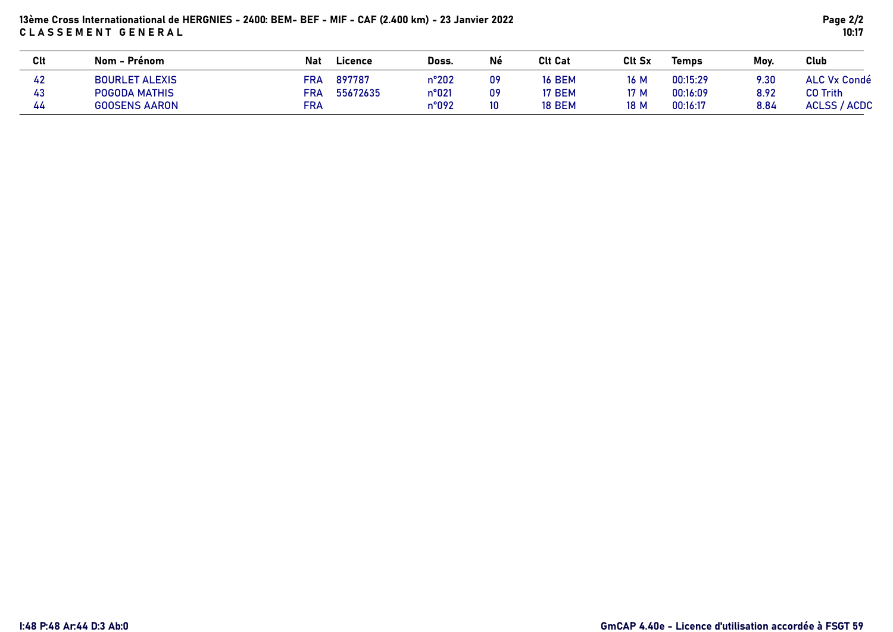# 13ème Cross Internationational de HERGNIES - 2400: BEM- BEF - MIF - CAF (2.400 km) - 23 Janvier 2022 CLASSEMENT GENERAL

| <b>Clt</b> | Nom - Prénom          | <b>Nat</b> | Doss.<br>Licence  | Né | <b>Clt Cat</b> | <b>Clt Sx</b> | <b>Temps</b> | Mov. | Club                |
|------------|-----------------------|------------|-------------------|----|----------------|---------------|--------------|------|---------------------|
| 42         | <b>BOURLET ALEXIS</b> | <b>FRA</b> | 897787<br>n°202   | 09 | <b>16 BEM</b>  | 16 M          | 00:15:29     | 9.30 | <b>ALC Vx Condé</b> |
| 43         | POGODA MATHIS         | <b>FRA</b> | 55672635<br>n°021 | 09 | 17 BEM         | 17 M          | 00:16:09     | 8.92 | CO Trith            |
| 44         | <b>GOOSENS AARON</b>  | FRA        | n°092             | 10 | <b>18 BEM</b>  | 18 M          | 00:16:17     | 8.84 | <b>ACLSS / ACDC</b> |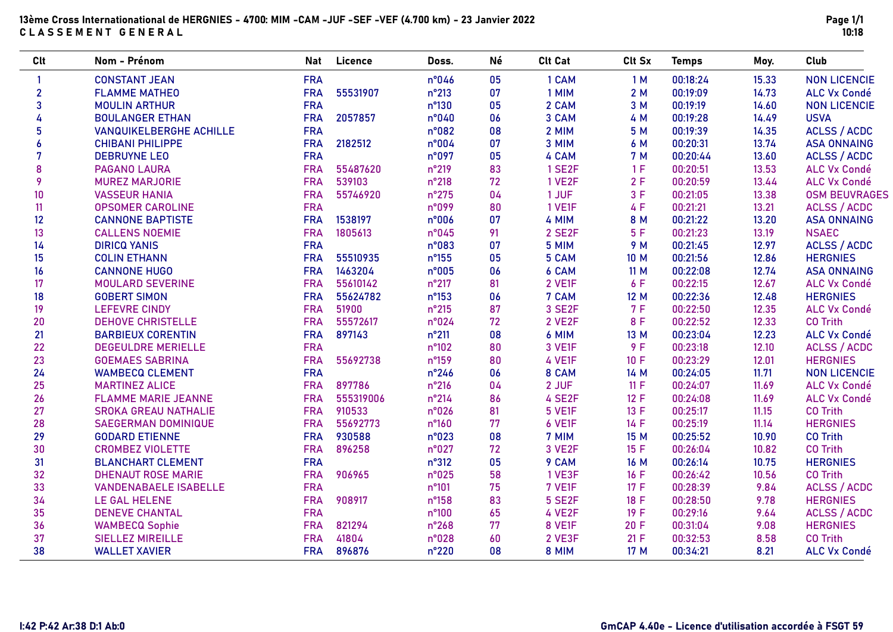| <b>Clt</b>     | Nom - Prénom                   | <b>Nat</b> | Licence   | Doss.          | Né | <b>Clt Cat</b> | Clt Sx | <b>Temps</b> | Moy.  | <b>Club</b>          |
|----------------|--------------------------------|------------|-----------|----------------|----|----------------|--------|--------------|-------|----------------------|
|                | <b>CONSTANT JEAN</b>           | <b>FRA</b> |           | n°046          | 05 | 1 CAM          | 1M     | 00:18:24     | 15.33 | <b>NON LICENCIE</b>  |
| $\overline{2}$ | <b>FLAMME MATHEO</b>           | <b>FRA</b> | 55531907  | $n^{\circ}213$ | 07 | 1 MIM          | 2 M    | 00:19:09     | 14.73 | ALC Vx Condé         |
| $\overline{3}$ | <b>MOULIN ARTHUR</b>           | <b>FRA</b> |           | $n^{\circ}130$ | 05 | 2 CAM          | 3 M    | 00:19:19     | 14.60 | <b>NON LICENCIE</b>  |
| 4              | <b>BOULANGER ETHAN</b>         | <b>FRA</b> | 2057857   | n°040          | 06 | 3 CAM          | 4 M    | 00:19:28     | 14.49 | <b>USVA</b>          |
| 5              | <b>VANQUIKELBERGHE ACHILLE</b> | <b>FRA</b> |           | n°082          | 08 | 2 MIM          | 5 M    | 00:19:39     | 14.35 | <b>ACLSS / ACDC</b>  |
| 6              | <b>CHIBANI PHILIPPE</b>        | <b>FRA</b> | 2182512   | n°004          | 07 | 3 MIM          | 6 M    | 00:20:31     | 13.74 | <b>ASA ONNAING</b>   |
| 7              | <b>DEBRUYNE LEO</b>            | <b>FRA</b> |           | n°097          | 05 | 4 CAM          | 7 M    | 00:20:44     | 13.60 | <b>ACLSS / ACDC</b>  |
| 8              | <b>PAGANO LAURA</b>            | <b>FRA</b> | 55487620  | n°219          | 83 | 1 SE2F         | 1F     | 00:20:51     | 13.53 | <b>ALC Vx Condé</b>  |
| 9              | <b>MUREZ MARJORIE</b>          | <b>FRA</b> | 539103    | $n^{\circ}218$ | 72 | <b>1 VE2F</b>  | 2F     | 00:20:59     | 13.44 | <b>ALC Vx Condé</b>  |
| 10             | <b>VASSEUR HANIA</b>           | <b>FRA</b> | 55746920  | n°275          | 04 | 1 JUF          | 3F     | 00:21:05     | 13.38 | <b>OSM BEUVRAGES</b> |
| 11             | <b>OPSOMER CAROLINE</b>        | <b>FRA</b> |           | n°099          | 80 | 1 VE1F         | 4F     | 00:21:21     | 13.21 | <b>ACLSS / ACDC</b>  |
| 12             | <b>CANNONE BAPTISTE</b>        | <b>FRA</b> | 1538197   | n°006          | 07 | 4 MIM          | 8 M    | 00:21:22     | 13.20 | <b>ASA ONNAING</b>   |
| 13             | <b>CALLENS NOEMIE</b>          | <b>FRA</b> | 1805613   | n°045          | 91 | 2 SE2F         | 5F     | 00:21:23     | 13.19 | <b>NSAEC</b>         |
| 14             | <b>DIRICQ YANIS</b>            | <b>FRA</b> |           | n°083          | 07 | 5 MIM          | 9 M    | 00:21:45     | 12.97 | <b>ACLSS / ACDC</b>  |
| 15             | <b>COLIN ETHANN</b>            | <b>FRA</b> | 55510935  | $n^{\circ}155$ | 05 | 5 CAM          | 10 M   | 00:21:56     | 12.86 | <b>HERGNIES</b>      |
| 16             | <b>CANNONE HUGO</b>            | <b>FRA</b> | 1463204   | n°005          | 06 | 6 CAM          | 11 M   | 00:22:08     | 12.74 | <b>ASA ONNAING</b>   |
| 17             | <b>MOULARD SEVERINE</b>        | <b>FRA</b> | 55610142  | $n^{\circ}217$ | 81 | 2 VE1F         | 6 F    | 00:22:15     | 12.67 | <b>ALC Vx Condé</b>  |
| 18             | <b>GOBERT SIMON</b>            | <b>FRA</b> | 55624782  | $n^{\circ}153$ | 06 | 7 CAM          | 12 M   | 00:22:36     | 12.48 | <b>HERGNIES</b>      |
| 19             | <b>LEFEVRE CINDY</b>           | <b>FRA</b> | 51900     | $n^{\circ}215$ | 87 | 3 SE2F         | 7F     | 00:22:50     | 12.35 | <b>ALC Vx Condé</b>  |
| 20             | <b>DEHOVE CHRISTELLE</b>       | <b>FRA</b> | 55572617  | n°024          | 72 | 2 VE2F         | 8 F    | 00:22:52     | 12.33 | <b>CO Trith</b>      |
| 21             | <b>BARBIEUX CORENTIN</b>       | <b>FRA</b> | 897143    | $n^{\circ}211$ | 08 | 6 MIM          | 13 M   | 00:23:04     | 12.23 | <b>ALC Vx Condé</b>  |
| 22             | <b>DEGEULDRE MERIELLE</b>      | <b>FRA</b> |           | n°102          | 80 | 3 VE1F         | 9 F    | 00:23:18     | 12.10 | <b>ACLSS / ACDC</b>  |
| 23             | <b>GOEMAES SABRINA</b>         | <b>FRA</b> | 55692738  | n°159          | 80 | 4 VE1F         | 10 F   | 00:23:29     | 12.01 | <b>HERGNIES</b>      |
| 24             | <b>WAMBECQ CLEMENT</b>         | <b>FRA</b> |           | n°246          | 06 | 8 CAM          | 14 M   | 00:24:05     | 11.71 | <b>NON LICENCIE</b>  |
| 25             | <b>MARTINEZ ALICE</b>          | <b>FRA</b> | 897786    | $n^{\circ}216$ | 04 | 2 JUF          | 11 F   | 00:24:07     | 11.69 | <b>ALC Vx Condé</b>  |
| 26             | <b>FLAMME MARIE JEANNE</b>     | <b>FRA</b> | 555319006 | $n^{\circ}214$ | 86 | 4 SE2F         | 12 F   | 00:24:08     | 11.69 | <b>ALC Vx Condé</b>  |
| 27             | <b>SROKA GREAU NATHALIE</b>    | <b>FRA</b> | 910533    | n°026          | 81 | 5 VE1F         | 13 F   | 00:25:17     | 11.15 | <b>CO Trith</b>      |
| 28             | <b>SAEGERMAN DOMINIQUE</b>     | <b>FRA</b> | 55692773  | $n^{\circ}160$ | 77 | 6 VE1F         | 14 F   | 00:25:19     | 11.14 | <b>HERGNIES</b>      |
| 29             | <b>GODARD ETIENNE</b>          | <b>FRA</b> | 930588    | n°023          | 08 | 7 MIM          | 15 M   | 00:25:52     | 10.90 | <b>CO Trith</b>      |
| 30             | <b>CROMBEZ VIOLETTE</b>        | <b>FRA</b> | 896258    | n°027          | 72 | 3 VE2F         | 15 F   | 00:26:04     | 10.82 | <b>CO Trith</b>      |
| 31             | <b>BLANCHART CLEMENT</b>       | <b>FRA</b> |           | $n^{\circ}312$ | 05 | 9 CAM          | 16 M   | 00:26:14     | 10.75 | <b>HERGNIES</b>      |
| 32             | <b>DHENAUT ROSE MARIE</b>      | <b>FRA</b> | 906965    | n°025          | 58 | 1 VE3F         | 16F    | 00:26:42     | 10.56 | <b>CO Trith</b>      |
| 33             | <b>VANDENABAELE ISABELLE</b>   | <b>FRA</b> |           | $n^{\circ}101$ | 75 | 7 VE1F         | 17 F   | 00:28:39     | 9.84  | <b>ACLSS / ACDC</b>  |
| 34             | LE GAL HELENE                  | <b>FRA</b> | 908917    | n°158          | 83 | 5 SE2F         | 18 F   | 00:28:50     | 9.78  | <b>HERGNIES</b>      |
| 35             | <b>DENEVE CHANTAL</b>          | <b>FRA</b> |           | n°100          | 65 | 4 VE2F         | 19 F   | 00:29:16     | 9.64  | <b>ACLSS / ACDC</b>  |
| 36             | <b>WAMBECQ Sophie</b>          | <b>FRA</b> | 821294    | n°268          | 77 | 8 VE1F         | 20 F   | 00:31:04     | 9.08  | <b>HERGNIES</b>      |
| 37             | <b>SIELLEZ MIREILLE</b>        | <b>FRA</b> | 41804     | n°028          | 60 | 2 VE3F         | 21 F   | 00:32:53     | 8.58  | <b>CO Trith</b>      |
| 38             | <b>WALLET XAVIER</b>           | <b>FRA</b> | 896876    | $n^{\circ}220$ | 08 | 8 MIM          | 17 M   | 00:34:21     | 8.21  | <b>ALC Vx Condé</b>  |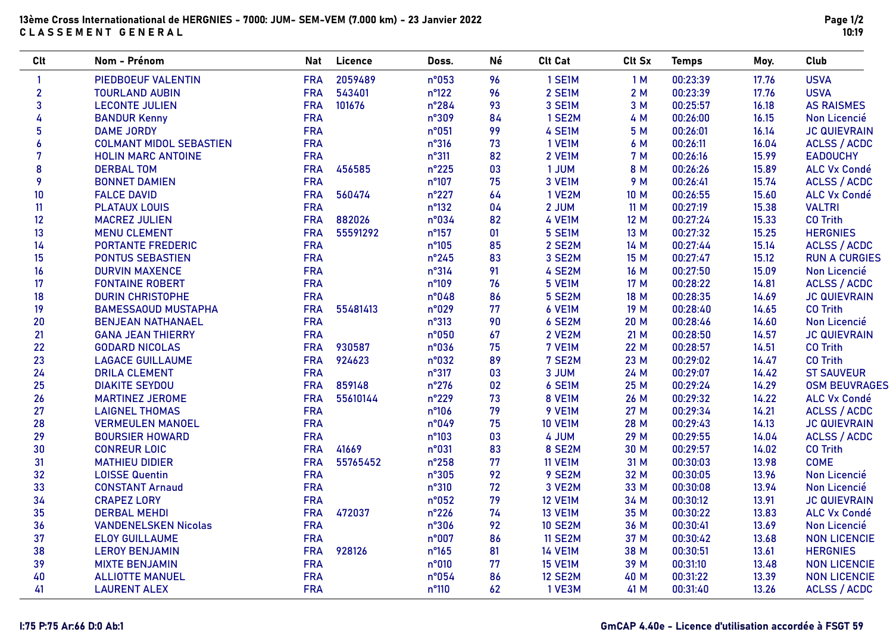| 2059489<br>1 SE1M<br>00:23:39<br>PIEDBOEUF VALENTIN<br><b>FRA</b><br>n°053<br>96<br>1M<br>17.76<br>$\mathbf{1}$<br>$\overline{2}$<br>$n^{\circ}122$<br>96<br><b>FRA</b><br>543401<br>2 SE1M<br>2M<br>00:23:39<br>17.76<br><b>TOURLAND AUBIN</b> | <b>USVA</b><br><b>USVA</b><br><b>AS RAISMES</b> |
|-------------------------------------------------------------------------------------------------------------------------------------------------------------------------------------------------------------------------------------------------|-------------------------------------------------|
|                                                                                                                                                                                                                                                 |                                                 |
|                                                                                                                                                                                                                                                 |                                                 |
| $\mathbf{3}$<br>101676<br><b>LECONTE JULIEN</b><br><b>FRA</b><br>$n^{\circ}284$<br>93<br>3 SE1M<br>3 M<br>00:25:57<br>16.18                                                                                                                     |                                                 |
| <b>FRA</b><br>4<br>n°309<br>84<br>1 SE2M<br>4 M<br>00:26:00<br>16.15<br><b>BANDUR Kenny</b>                                                                                                                                                     | Non Licencié                                    |
| 5<br><b>FRA</b><br>n°051<br>99<br>4 SE1M<br>5 M<br>00:26:01<br><b>DAME JORDY</b><br>16.14                                                                                                                                                       | <b>JC QUIEVRAIN</b>                             |
| <b>FRA</b><br>73<br>00:26:11<br>6<br><b>COLMANT MIDOL SEBASTIEN</b><br>n°316<br>1 VE1M<br>6 M<br>16.04                                                                                                                                          | <b>ACLSS / ACDC</b>                             |
| 7<br><b>FRA</b><br>82<br>2 VE1M<br><b>7 M</b><br>00:26:16<br>15.99<br>$n^{\circ}311$<br><b>HOLIN MARC ANTOINE</b>                                                                                                                               | <b>EADOUCHY</b>                                 |
| 8<br><b>FRA</b><br>456585<br>03<br>1 JUM<br>00:26:26<br>n°225<br>8 M<br>15.89<br><b>DERBAL TOM</b>                                                                                                                                              | <b>ALC Vx Condé</b>                             |
| 9<br><b>FRA</b><br>n°107<br>75<br>3 VE1M<br><b>BONNET DAMIEN</b><br>9 M<br>00:26:41<br>15.74                                                                                                                                                    | <b>ACLSS / ACDC</b>                             |
| 10<br><b>FRA</b><br>560474<br>n°227<br>64<br>1 VE2M<br>10 M<br>00:26:55<br><b>FALCE DAVID</b><br>15.60                                                                                                                                          | <b>ALC Vx Condé</b>                             |
| <b>FRA</b><br>$n^{\circ}132$<br>04<br>2 JUM<br>00:27:19<br>15.38<br>11<br>11M<br><b>PLATAUX LOUIS</b>                                                                                                                                           | <b>VALTRI</b>                                   |
| 4 VE1M<br>12<br><b>FRA</b><br>882026<br>n°034<br>82<br>00:27:24<br>15.33<br><b>MACREZ JULIEN</b><br>12 M                                                                                                                                        | <b>CO Trith</b>                                 |
| 00:27:32<br>13<br><b>FRA</b><br>55591292<br>$n^{\circ}157$<br>01<br>5 SE1M<br>15.25<br><b>MENU CLEMENT</b><br>13 M                                                                                                                              | <b>HERGNIES</b>                                 |
| 14<br><b>FRA</b><br>85<br>2 SE2M<br>14 M<br>00:27:44<br><b>PORTANTE FREDERIC</b><br>$n^{\circ}105$<br>15.14                                                                                                                                     | <b>ACLSS / ACDC</b>                             |
| <b>FRA</b><br>15<br>$n^{\circ}245$<br>83<br>3 SE2M<br>15 M<br>00:27:47<br>15.12<br><b>PONTUS SEBASTIEN</b>                                                                                                                                      | <b>RUN A CURGIES</b>                            |
| 91<br>16<br><b>FRA</b><br>$n^{\circ}314$<br>4 SE2M<br>00:27:50<br><b>DURVIN MAXENCE</b><br>16 M<br>15.09                                                                                                                                        | Non Licencié                                    |
| <b>FRA</b><br>5 VE1M<br>00:28:22<br>17<br>n°109<br>76<br>17 M<br>14.81<br><b>FONTAINE ROBERT</b>                                                                                                                                                | <b>ACLSS / ACDC</b>                             |
| 18<br><b>FRA</b><br>n°048<br>86<br>5 SE2M<br>18 M<br>00:28:35<br>14.69<br><b>DURIN CHRISTOPHE</b>                                                                                                                                               | <b>JC QUIEVRAIN</b>                             |
| <b>FRA</b><br>00:28:40<br>14.65<br>19<br>55481413<br>n°029<br>77<br>6 VE1M<br>19 M<br><b>BAMESSAOUD MUSTAPHA</b>                                                                                                                                | <b>CO Trith</b>                                 |
| <b>FRA</b><br>$n^{\circ}313$<br>90<br>6 SE2M<br>00:28:46<br>14.60<br>20<br><b>BENJEAN NATHANAEL</b><br>20 M                                                                                                                                     | Non Licencié                                    |
| 00:28:50<br>21<br><b>FRA</b><br>n°050<br>67<br>2 VE2M<br>21 M<br>14.57<br><b>GANA JEAN THIERRY</b>                                                                                                                                              | <b>JC QUIEVRAIN</b>                             |
| 22<br>75<br><b>FRA</b><br>930587<br>n°036<br>7 VE1M<br>22 M<br>00:28:57<br>14.51<br><b>GODARD NICOLAS</b>                                                                                                                                       | <b>CO Trith</b>                                 |
| 924623<br>23<br><b>FRA</b><br>n°032<br>89<br>7 SE2M<br>23 M<br>00:29:02<br><b>LAGACE GUILLAUME</b><br>14.47                                                                                                                                     | <b>CO Trith</b>                                 |
| 24<br>03<br>3 JUM<br>00:29:07<br><b>FRA</b><br>$n^{\circ}317$<br>24 M<br>14.42<br><b>DRILA CLEMENT</b>                                                                                                                                          | <b>ST SAUVEUR</b>                               |
| 25<br>859148<br><b>FRA</b><br>$n^{\circ}276$<br>02<br>6 SE1M<br>25 M<br>00:29:24<br>14.29<br><b>DIAKITE SEYDOU</b>                                                                                                                              | <b>OSM BEUVRAGES</b>                            |
| 26<br><b>FRA</b><br>55610144<br>$n^{\circ}229$<br>73<br>8 VE1M<br>00:29:32<br><b>MARTINEZ JEROME</b><br>26 M<br>14.22                                                                                                                           | <b>ALC Vx Condé</b>                             |
| 27<br><b>FRA</b><br>n°106<br>79<br>9 VE1M<br>00:29:34<br>14.21<br>27 M<br><b>LAIGNEL THOMAS</b>                                                                                                                                                 | <b>ACLSS / ACDC</b>                             |
| 28<br><b>FRA</b><br>n°049<br>75<br><b>10 VE1M</b><br>00:29:43<br>14.13<br><b>VERMEULEN MANOEL</b><br>28 M                                                                                                                                       | <b>JC QUIEVRAIN</b>                             |
| 29<br><b>FRA</b><br>n°103<br>03<br>4 JUM<br>00:29:55<br><b>BOURSIER HOWARD</b><br>29 M<br>14.04                                                                                                                                                 | <b>ACLSS / ACDC</b>                             |
| 30<br>41669<br>83<br>8 SE2M<br>00:29:57<br><b>CONREUR LOIC</b><br><b>FRA</b><br>n°031<br>30 M<br>14.02                                                                                                                                          | <b>CO Trith</b>                                 |
| 31<br><b>FRA</b><br>55765452<br>77<br>13.98<br>$n^{\circ}258$<br><b>11 VE1M</b><br>31 M<br>00:30:03<br><b>MATHIEU DIDIER</b>                                                                                                                    | <b>COME</b>                                     |
| 32<br><b>FRA</b><br>92<br>9 SE2M<br>00:30:05<br><b>LOISSE Quentin</b><br>n°305<br>32 M<br>13.96                                                                                                                                                 | Non Licencié                                    |
| 33<br><b>FRA</b><br>$n^{\circ}310$<br>72<br>3 VE2M<br>33 M<br>00:30:08<br>13.94<br><b>CONSTANT Arnaud</b>                                                                                                                                       | Non Licencié                                    |
| 34<br><b>FRA</b><br>n°052<br>79<br><b>12 VE1M</b><br>34 M<br>00:30:12<br>13.91<br><b>CRAPEZ LORY</b>                                                                                                                                            | <b>JC QUIEVRAIN</b>                             |
| 35<br><b>FRA</b><br>472037<br>$n^{\circ}226$<br>74<br><b>13 VE1M</b><br>00:30:22<br>13.83<br><b>DERBAL MEHDI</b><br>35 M                                                                                                                        | <b>ALC Vx Condé</b>                             |
| 36<br><b>FRA</b><br>n°306<br>92<br><b>10 SE2M</b><br>36 M<br>00:30:41<br>13.69<br><b>VANDENELSKEN Nicolas</b>                                                                                                                                   | Non Licencié                                    |
| 37<br><b>FRA</b><br>n°007<br>86<br><b>11 SE2M</b><br>37 M<br>00:30:42<br><b>ELOY GUILLAUME</b><br>13.68                                                                                                                                         | <b>NON LICENCIE</b>                             |
| 38<br><b>FRA</b><br>928126<br>$n^{\circ}165$<br>81<br><b>14 VE1M</b><br>00:30:51<br>13.61<br><b>LEROY BENJAMIN</b><br>38 M                                                                                                                      | <b>HERGNIES</b>                                 |
| 39<br><b>FRA</b><br>n°010<br>77<br><b>15 VE1M</b><br>39 M<br>00:31:10<br><b>MIXTE BENJAMIN</b><br>13.48                                                                                                                                         | <b>NON LICENCIE</b>                             |
| 40<br><b>FRA</b><br>n°054<br>86<br><b>12 SE2M</b><br>40 M<br>00:31:22<br>13.39<br><b>ALLIOTTE MANUEL</b>                                                                                                                                        | <b>NON LICENCIE</b>                             |
| <b>FRA</b><br>62<br>41<br><b>LAURENT ALEX</b><br>n°110<br>1 VE3M<br>41 M<br>00:31:40<br>13.26                                                                                                                                                   | <b>ACLSS / ACDC</b>                             |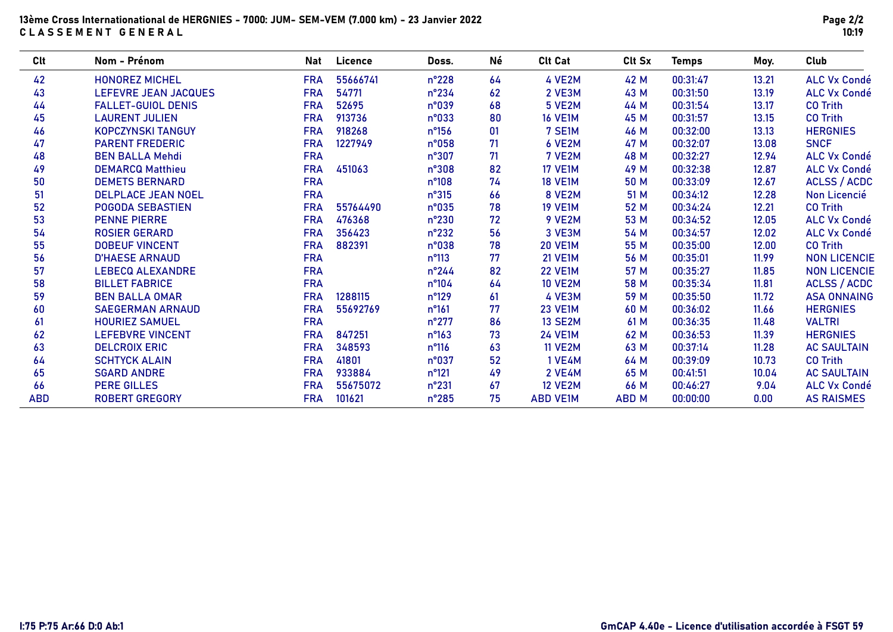### 13ème Cross Internationational de HERGNIES - 7000: JUM- SEM-VEM (7.000 km) - 23 Janvier 2022 CLASSEMENT GENERAL

| Clt        | Nom - Prénom                | Nat        | Licence  | Doss.          | Né | <b>Clt Cat</b>  | Clt Sx       | <b>Temps</b> | Moy.  | Club                |
|------------|-----------------------------|------------|----------|----------------|----|-----------------|--------------|--------------|-------|---------------------|
| 42         | <b>HONOREZ MICHEL</b>       | <b>FRA</b> | 55666741 | $n^{\circ}228$ | 64 | 4 VE2M          | 42 M         | 00:31:47     | 13.21 | <b>ALC Vx Condé</b> |
| 43         | <b>LEFEVRE JEAN JACQUES</b> | <b>FRA</b> | 54771    | $n^{\circ}234$ | 62 | 2 VE3M          | 43 M         | 00:31:50     | 13.19 | <b>ALC Vx Condé</b> |
| 44         | <b>FALLET-GUIOL DENIS</b>   | <b>FRA</b> | 52695    | n°039          | 68 | <b>5 VE2M</b>   | 44 M         | 00:31:54     | 13.17 | <b>CO Trith</b>     |
| 45         | <b>LAURENT JULIEN</b>       | <b>FRA</b> | 913736   | n°033          | 80 | <b>16 VE1M</b>  | 45 M         | 00:31:57     | 13.15 | <b>CO Trith</b>     |
| 46         | <b>KOPCZYNSKI TANGUY</b>    | <b>FRA</b> | 918268   | $n^{\circ}156$ | 01 | 7 SE1M          | 46 M         | 00:32:00     | 13.13 | <b>HERGNIES</b>     |
| 47         | <b>PARENT FREDERIC</b>      | <b>FRA</b> | 1227949  | n°058          | 71 | 6 VE2M          | 47 M         | 00:32:07     | 13.08 | <b>SNCF</b>         |
| 48         | <b>BEN BALLA Mehdi</b>      | <b>FRA</b> |          | n°307          | 71 | 7 VE2M          | 48 M         | 00:32:27     | 12.94 | <b>ALC Vx Condé</b> |
| 49         | <b>DEMARCQ Matthieu</b>     | <b>FRA</b> | 451063   | n°308          | 82 | <b>17 VE1M</b>  | 49 M         | 00:32:38     | 12.87 | <b>ALC Vx Condé</b> |
| 50         | <b>DEMETS BERNARD</b>       | <b>FRA</b> |          | $n^{\circ}108$ | 74 | <b>18 VE1M</b>  | 50 M         | 00:33:09     | 12.67 | <b>ACLSS / ACDC</b> |
| 51         | <b>DELPLACE JEAN NOEL</b>   | <b>FRA</b> |          | $n^{\circ}315$ | 66 | 8 VE2M          | 51 M         | 00:34:12     | 12.28 | Non Licencié        |
| 52         | <b>POGODA SEBASTIEN</b>     | <b>FRA</b> | 55764490 | n°035          | 78 | <b>19 VE1M</b>  | 52 M         | 00:34:24     | 12.21 | <b>CO Trith</b>     |
| 53         | <b>PENNE PIERRE</b>         | <b>FRA</b> | 476368   | $n^{\circ}230$ | 72 | 9 VE2M          | 53 M         | 00:34:52     | 12.05 | <b>ALC Vx Condé</b> |
| 54         | <b>ROSIER GERARD</b>        | <b>FRA</b> | 356423   | $n^{\circ}232$ | 56 | 3 VE3M          | 54 M         | 00:34:57     | 12.02 | <b>ALC Vx Condé</b> |
| 55         | <b>DOBEUF VINCENT</b>       | <b>FRA</b> | 882391   | n°038          | 78 | <b>20 VE1M</b>  | 55 M         | 00:35:00     | 12.00 | <b>CO Trith</b>     |
| 56         | <b>D'HAESE ARNAUD</b>       | <b>FRA</b> |          | $n^{\circ}113$ | 77 | <b>21 VE1M</b>  | 56 M         | 00:35:01     | 11.99 | <b>NON LICENCIE</b> |
| 57         | <b>LEBECQ ALEXANDRE</b>     | <b>FRA</b> |          | $n^{\circ}244$ | 82 | <b>22 VE1M</b>  | 57 M         | 00:35:27     | 11.85 | <b>NON LICENCIE</b> |
| 58         | <b>BILLET FABRICE</b>       | <b>FRA</b> |          | $n^{\circ}104$ | 64 | <b>10 VE2M</b>  | 58 M         | 00:35:34     | 11.81 | <b>ACLSS / ACDC</b> |
| 59         | <b>BEN BALLA OMAR</b>       | <b>FRA</b> | 1288115  | $n^{\circ}129$ | 61 | 4 VE3M          | 59 M         | 00:35:50     | 11.72 | <b>ASA ONNAING</b>  |
| 60         | <b>SAEGERMAN ARNAUD</b>     | <b>FRA</b> | 55692769 | $n^{\circ}161$ | 77 | <b>23 VE1M</b>  | 60 M         | 00:36:02     | 11.66 | <b>HERGNIES</b>     |
| 61         | <b>HOURIEZ SAMUEL</b>       | <b>FRA</b> |          | $n^{\circ}277$ | 86 | <b>13 SE2M</b>  | 61 M         | 00:36:35     | 11.48 | <b>VALTRI</b>       |
| 62         | <b>LEFEBVRE VINCENT</b>     | <b>FRA</b> | 847251   | $n^{\circ}163$ | 73 | <b>24 VE1M</b>  | 62 M         | 00:36:53     | 11.39 | <b>HERGNIES</b>     |
| 63         | <b>DELCROIX ERIC</b>        | <b>FRA</b> | 348593   | $n^{\circ}116$ | 63 | <b>11 VE2M</b>  | 63 M         | 00:37:14     | 11.28 | <b>AC SAULTAIN</b>  |
| 64         | <b>SCHTYCK ALAIN</b>        | <b>FRA</b> | 41801    | n°037          | 52 | <b>1 VE4M</b>   | 64 M         | 00:39:09     | 10.73 | <b>CO Trith</b>     |
| 65         | <b>SGARD ANDRE</b>          | <b>FRA</b> | 933884   | $n^{\circ}121$ | 49 | <b>2 VE4M</b>   | 65 M         | 00:41:51     | 10.04 | <b>AC SAULTAIN</b>  |
| 66         | <b>PERE GILLES</b>          | <b>FRA</b> | 55675072 | $n^{\circ}231$ | 67 | <b>12 VE2M</b>  | 66 M         | 00:46:27     | 9.04  | <b>ALC Vx Condé</b> |
| <b>ABD</b> | <b>ROBERT GREGORY</b>       | <b>FRA</b> | 101621   | $n^{\circ}285$ | 75 | <b>ABD VE1M</b> | <b>ABD M</b> | 00:00:00     | 0.00  | <b>AS RAISMES</b>   |